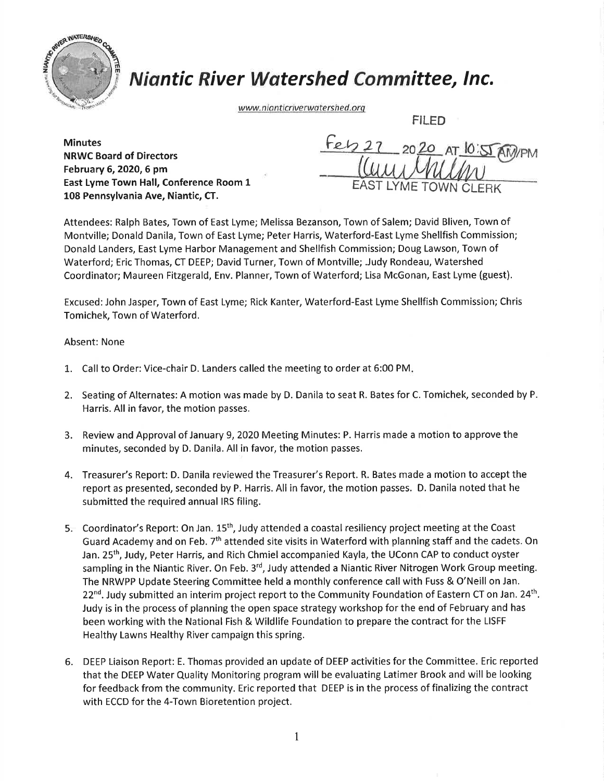

## **Niantic River Watershed Committee, Inc.**

www.nianticriverwatershed.org

FILED

**Minutes** NRWC Board of Directors February 6, 2020, 6 pm East Lyme Town Hall, Conference Room 1 108 Pennsylvania Ave, Niantic, CT.

 $fep2$ 2020 AT 10:55 M  $\overline{\mathcal{U}}$ EAST LYME TO

Attendees: Ralph Bates, Town of East Lyme; Melissa Bezanson, Town of Salem; David Bliven, Town of Montville; Donald Danila, Town of East Lyme; Peter Harris, Waterford-East Lyme Shellfish Commission; Donald Landers, East Lyme Harbor Management and Shellfish Commission; Doug Lawson, Town of Waterford; Eric Thomas, CT DEEP; David Turner, Town of Montville; .Judy Rondeau, Watershed Coordinator; Maureen Fitzgerald, Env. Planner,Town of Waterford; Lisa McGonan, East Lyme (guest).

Excused: John Jasper, Town of East Lyme; Rick Kanter, Waterford-East Lyme Shellfish Commission; Chris Tomichek, Town of Waterford.

Absent: None

- 1. Call to Order: Vice-chair D. Landers called the meeting to order at 6:00 PM.
- 2. Seating of Alternates: A motion was made by D. Danila to seat R. Bates for C. Tomichek, seconded by P. Harris. All in favor, the motion passes.
- 3. Review and Approval of January 9,2020 Meeting Minutes: P. Harris made a motion to approve the minutes, seconded by D. Danila. All in favor, the motion passes.
- 4. Treasurer's Report: D. Danila reviewed the Treasurer's Report. R. Bates made a motion to accept the report as presented, seconded by P. Harris. All in favor, the motion passes. D. Danila noted that he submitted the required annual IRS filing.
- 5. Coordinator's Report: On Jan. 15<sup>th</sup>, Judy attended a coastal resiliency project meeting at the Coast Guard Academy and on Feb. 7<sup>th</sup> attended site visits in Waterford with planning staff and the cadets. On Jan. 25th, Judy, Peter Harris, and Rich Chmiel accompanied Kayla, the UConn CAP to conduct oyster sampling in the Niantic River. On Feb. 3<sup>rd</sup>, Judy attended a Niantic River Nitrogen Work Group meeting. The NRWPP Update Steering Committee held a monthly conference call with Fuss & O'Neill on Jan. 22<sup>nd</sup>. Judy submitted an interim project report to the Community Foundation of Eastern CT on Jan. 24<sup>th</sup>. Judy is in the process of planning the open space strategy workshop for the end of February and has been working with the National Fish & Wildlife Foundation to prepare the contract for the LISFF Healthy Lawns Healthy River campaign this spring.
- 6. DEEP Liaison Report: E. Thomas provided an update of DEEP activities for the Committee. Eric reported that the DEEP Water Quality Monitoring program will be evaluating Latimer Brook and will be looking for feedback from the community. Eric reported that DEEP is in the process of finalizing the contract with ECCD for the 4-Town Bioretention project.